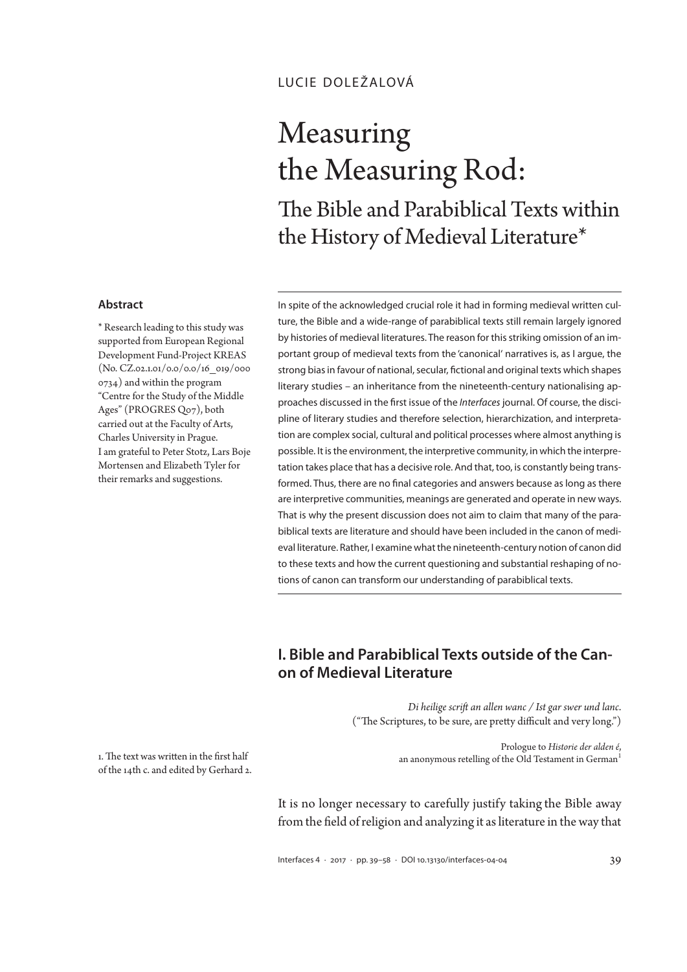## lucie doležalová

# Measuring the Measuring Rod: The Bible and Parabiblical Texts within the History of Medieval Literature\*

#### **Abstract**

\* Research leading to this study was supported from European Regional Development Fund-Project KREAS (No. CZ.02.1.01/0.0/0.0/16\_019/000 0734) and within the program "Centre for the Study of the Middle Ages" (PROGRES Q07), both carried out at the Faculty of Arts, Charles University in Prague. I am grateful to Peter Stotz, Lars Boje Mortensen and Elizabeth Tyler for their remarks and suggestions.

In spite of the acknowledged crucial role it had in forming medieval written culture, the Bible and a wide-range of parabiblical texts still remain largely ignored by histories of medieval literatures. The reason for this striking omission of an important group of medieval texts from the 'canonical' narratives is, as I argue, the strong bias in favour of national, secular, fictional and original texts which shapes literary studies – an inheritance from the nineteenth-century nationalising approaches discussed in the first issue of the *Interfaces* journal. Of course, the discipline of literary studies and therefore selection, hierarchization, and interpretation are complex social, cultural and political processes where almost anything is possible. It is the environment, the interpretive community, in which the interpretation takes place that has a decisive role. And that, too, is constantly being transformed. Thus, there are no final categories and answers because as long as there are interpretive communities, meanings are generated and operate in new ways. That is why the present discussion does not aim to claim that many of the parabiblical texts are literature and should have been included in the canon of medieval literature. Rather, I examine what the nineteenth-century notion of canon did to these texts and how the current questioning and substantial reshaping of notions of canon can transform our understanding of parabiblical texts.

# **I. Bible and Parabiblical Texts outside of the Canon of Medieval Literature**

*Di heilige scrift an allen wanc / Ist gar swer und lanc*. ("The Scriptures, to be sure, are pretty difficult and very long.")

> Prologue to *Historie der alden é*, an anonymous retelling of the Old Testament in German<sup>1</sup>

1. The text was written in the first half of the 14th c. and edited by Gerhard 2.

> It is no longer necessary to carefully justify taking the Bible away from the field of religion and analyzing it as literature in the way that

> Interfaces 4 · <sup>2017</sup> · pp. 39–58 · DOI 10.13130/interfaces-04-04 39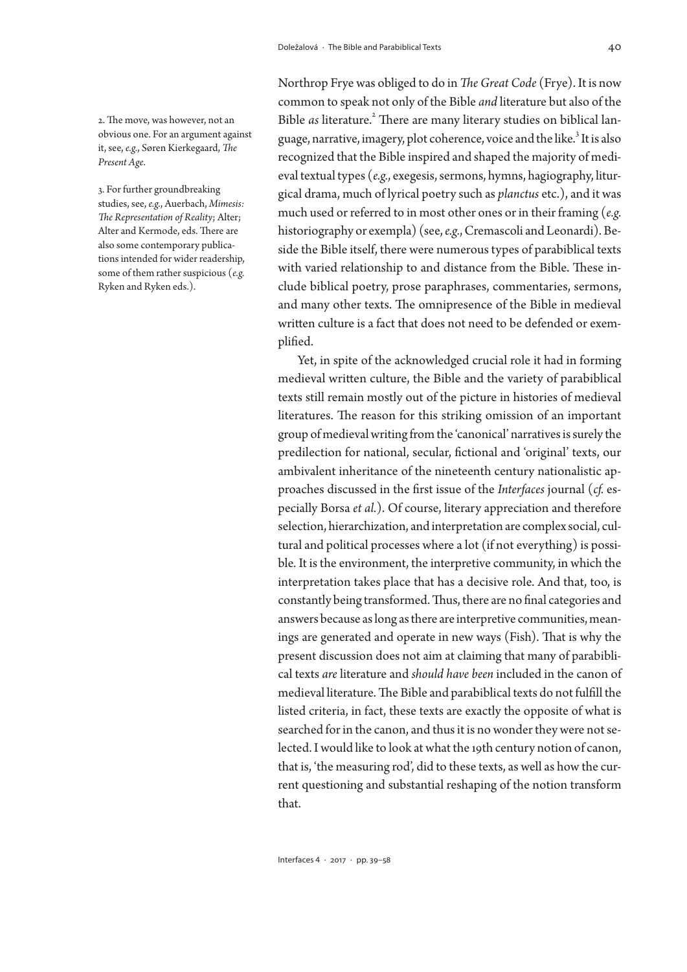2. The move, was however, not an obvious one. For an argument against it, see, *e.g.*, Søren Kierkegaard, *The Present Age*.

3. For further groundbreaking studies, see, *e.g.*, Auerbach, *Mimesis: The Representation of Reality*; Alter; Alter and Kermode, eds. There are also some contemporary publications intended for wider readership, some of them rather suspicious (*e.g.*  Ryken and Ryken eds.).

Northrop Frye was obliged to do in *The Great Code* (Frye). It is now common to speak not only of the Bible *and* literature but also of the Bible as literature.<sup>2</sup> There are many literary studies on biblical language, narrative, imagery, plot coherence, voice and the like. $^3$  It is also recognized that the Bible inspired and shaped the majority of medieval textual types (*e.g.*, exegesis, sermons, hymns, hagiography, liturgical drama, much of lyrical poetry such as *planctus* etc.), and it was much used or referred to in most other ones or in their framing (*e.g.*  historiography or exempla) (see, *e.g.*, Cremascoli and Leonardi). Beside the Bible itself, there were numerous types of parabiblical texts with varied relationship to and distance from the Bible. These include biblical poetry, prose paraphrases, commentaries, sermons, and many other texts. The omnipresence of the Bible in medieval written culture is a fact that does not need to be defended or exemplified.

Yet, in spite of the acknowledged crucial role it had in forming medieval written culture, the Bible and the variety of parabiblical texts still remain mostly out of the picture in histories of medieval literatures. The reason for this striking omission of an important group of medieval writing from the 'canonical' narratives is surely the predilection for national, secular, fictional and 'original' texts, our ambivalent inheritance of the nineteenth century nationalistic approaches discussed in the first issue of the *Interfaces* journal (*cf.* especially Borsa *et al.*). Of course, literary appreciation and therefore selection, hierarchization, and interpretation are complex social, cultural and political processes where a lot (if not everything) is possible. It is the environment, the interpretive community, in which the interpretation takes place that has a decisive role. And that, too, is constantly being transformed. Thus, there are no final categories and answers because as long as there are interpretive communities, meanings are generated and operate in new ways (Fish). That is why the present discussion does not aim at claiming that many of parabiblical texts *are* literature and *should have been* included in the canon of medieval literature. The Bible and parabiblical texts do not fulfill the listed criteria, in fact, these texts are exactly the opposite of what is searched for in the canon, and thus it is no wonder they were not selected. I would like to look at what the 19th century notion of canon, that is, 'the measuring rod', did to these texts, as well as how the current questioning and substantial reshaping of the notion transform that.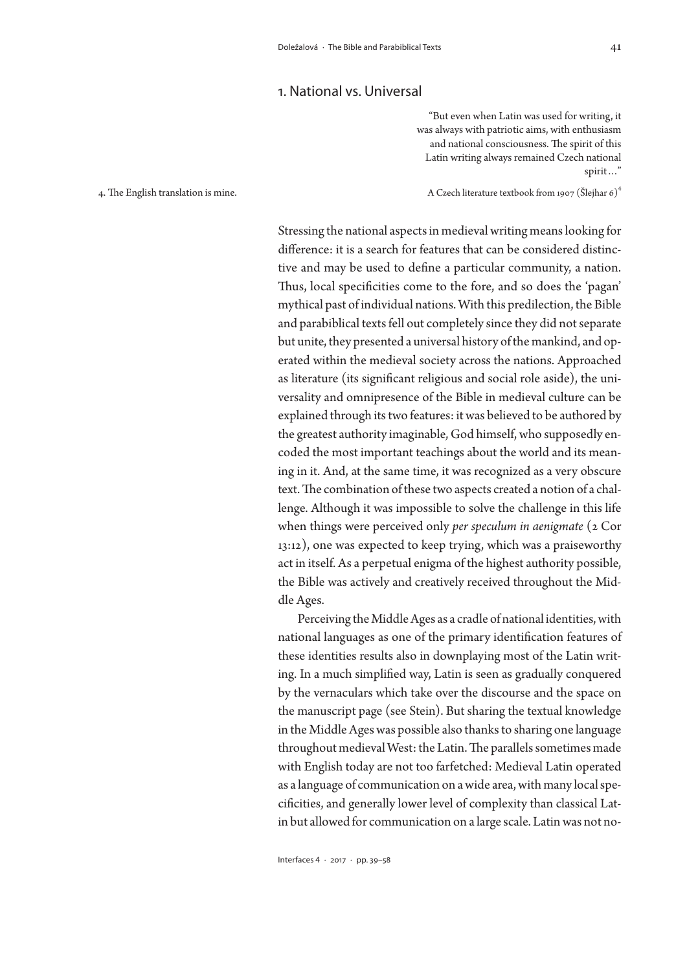### 1. National vs. Universal

"But even when Latin was used for writing, it was always with patriotic aims, with enthusiasm and national consciousness. The spirit of this Latin writing always remained Czech national spirit…"

4. The English translation is mine.

A Czech literature textbook from 1907 (Šlejhar 6) 4

Stressing the national aspects in medieval writing means looking for difference: it is a search for features that can be considered distinctive and may be used to define a particular community, a nation. Thus, local specificities come to the fore, and so does the 'pagan' mythical past of individual nations. With this predilection, the Bible and parabiblical texts fell out completely since they did not separate but unite, they presented a universal history of the mankind, and operated within the medieval society across the nations. Approached as literature (its significant religious and social role aside), the universality and omnipresence of the Bible in medieval culture can be explained through its two features: it was believed to be authored by the greatest authority imaginable, God himself, who supposedly encoded the most important teachings about the world and its meaning in it. And, at the same time, it was recognized as a very obscure text. The combination of these two aspects created a notion of a challenge. Although it was impossible to solve the challenge in this life when things were perceived only *per speculum in aenigmate* (2 Cor 13:12), one was expected to keep trying, which was a praiseworthy act in itself. As a perpetual enigma of the highest authority possible, the Bible was actively and creatively received throughout the Middle Ages.

Perceiving the Middle Ages as a cradle of national identities, with national languages as one of the primary identification features of these identities results also in downplaying most of the Latin writing. In a much simplified way, Latin is seen as gradually conquered by the vernaculars which take over the discourse and the space on the manuscript page (see Stein). But sharing the textual knowledge in the Middle Ages was possible also thanks to sharing one language throughout medieval West: the Latin. The parallels sometimes made with English today are not too farfetched: Medieval Latin operated as a language of communication on a wide area, with many local specificities, and generally lower level of complexity than classical Latin but allowed for communication on a large scale. Latin was not no-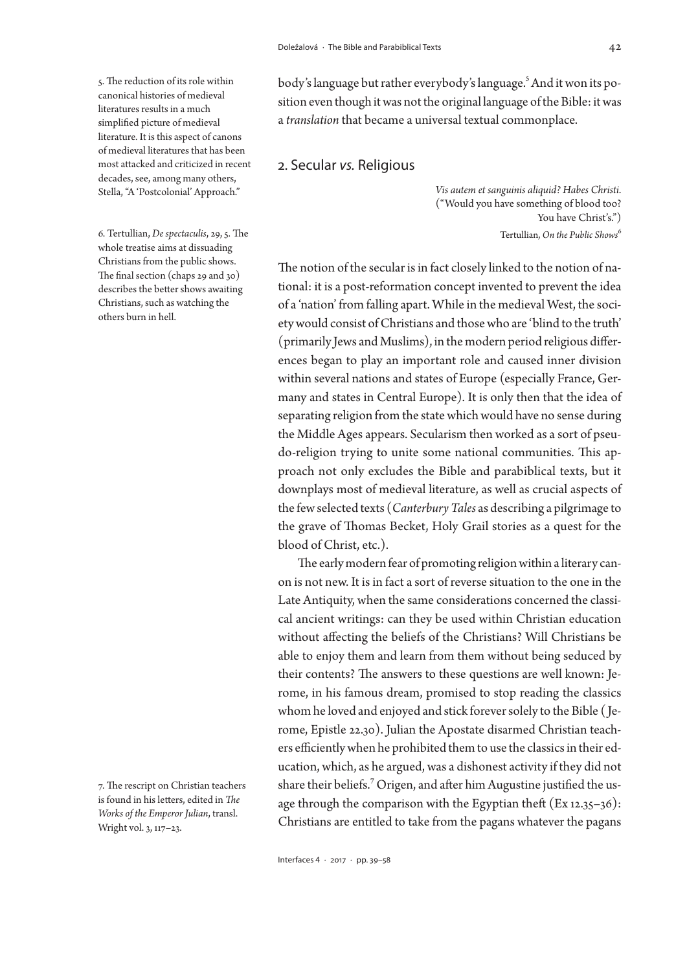#### 5. The reduction of its role within canonical histories of medieval literatures results in a much simplified picture of medieval literature. It is this aspect of canons of medieval literatures that has been most attacked and criticized in recent decades, see, among many others, Stella, "A 'Postcolonial' Approach."

6. Tertullian, *De spectaculis*, 29, 5. The whole treatise aims at dissuading Christians from the public shows. The final section (chaps 29 and 30) describes the better shows awaiting Christians, such as watching the others burn in hell.

7. The rescript on Christian teachers is found in his letters, edited in *The Works of the Emperor Julian*, transl. Wright vol. 3, 117–23.

body's language but rather everybody's language.<sup>5</sup> And it won its position even though it was not the original language of the Bible: it was a *translation* that became a universal textual commonplace.

## 2. Secular *vs.* Religious

*Vis autem et sanguinis aliquid? Habes Christi*. ("Would you have something of blood too? You have Christ's.") Tertullian, *On the Public Shows*<sup>6</sup>

The notion of the secular is in fact closely linked to the notion of national: it is a post-reformation concept invented to prevent the idea of a 'nation' from falling apart. While in the medieval West, the society would consist of Christians and those who are 'blind to the truth' (primarily Jews and Muslims), in the modern period religious differences began to play an important role and caused inner division within several nations and states of Europe (especially France, Germany and states in Central Europe). It is only then that the idea of separating religion from the state which would have no sense during the Middle Ages appears. Secularism then worked as a sort of pseudo-religion trying to unite some national communities. This approach not only excludes the Bible and parabiblical texts, but it downplays most of medieval literature, as well as crucial aspects of the few selected texts (*Canterbury Tales* as describing a pilgrimage to the grave of Thomas Becket, Holy Grail stories as a quest for the blood of Christ, etc.).

The early modern fear of promoting religion within a literary canon is not new. It is in fact a sort of reverse situation to the one in the Late Antiquity, when the same considerations concerned the classical ancient writings: can they be used within Christian education without affecting the beliefs of the Christians? Will Christians be able to enjoy them and learn from them without being seduced by their contents? The answers to these questions are well known: Jerome, in his famous dream, promised to stop reading the classics whom he loved and enjoyed and stick forever solely to the Bible ( Jerome, Epistle 22.30). Julian the Apostate disarmed Christian teachers efficiently when he prohibited them to use the classics in their education, which, as he argued, was a dishonest activity if they did not share their beliefs.<sup>7</sup> Origen, and after him Augustine justified the usage through the comparison with the Egyptian theft (Ex 12.35–36): Christians are entitled to take from the pagans whatever the pagans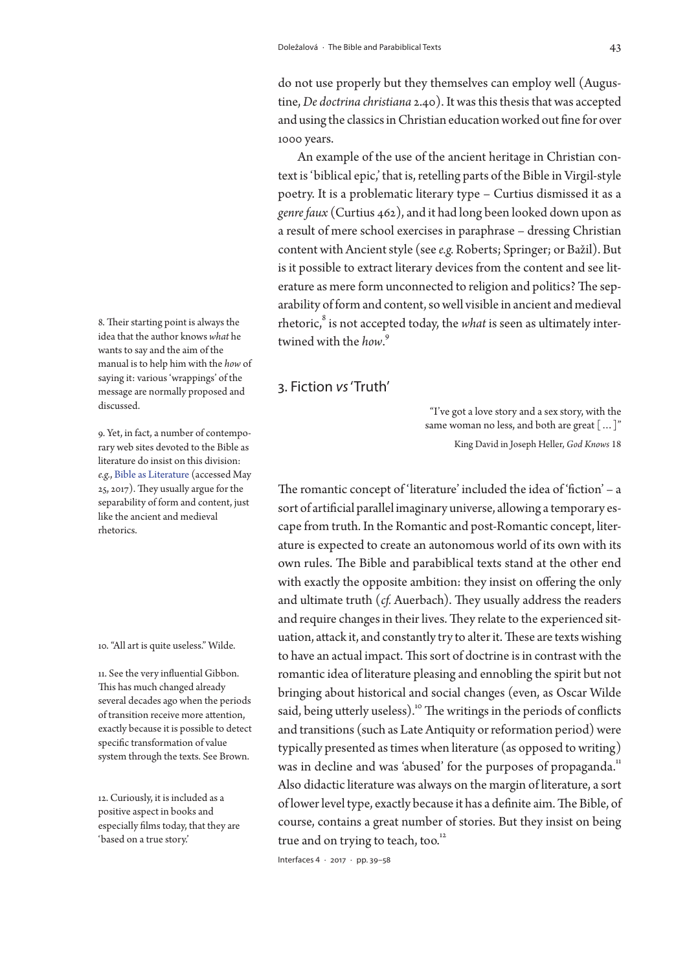do not use properly but they themselves can employ well (Augustine, *De doctrina christiana* 2.40). It was this thesis that was accepted and using the classics in Christian education worked out fine for over 1000 years.

An example of the use of the ancient heritage in Christian context is 'biblical epic,' that is, retelling parts of the Bible in Virgil-style poetry. It is a problematic literary type – Curtius dismissed it as a *genre faux* (Curtius 462), and it had long been looked down upon as a result of mere school exercises in paraphrase – dressing Christian content with Ancient style (see *e.g.* Roberts; Springer; or Bažil). But is it possible to extract literary devices from the content and see literature as mere form unconnected to religion and politics? The separability of form and content, so well visible in ancient and medieval rhetoric, $^8$  is not accepted today, the  $what$  is seen as ultimately intertwined with the *how*. 9

3. Fiction *vs* 'Truth'

"I've got a love story and a sex story, with the same woman no less, and both are great [...]" King David in Joseph Heller, *God Knows* 18

The romantic concept of 'literature' included the idea of 'fiction' – a sort of artificial parallel imaginary universe, allowing a temporary escape from truth. In the Romantic and post-Romantic concept, literature is expected to create an autonomous world of its own with its own rules. The Bible and parabiblical texts stand at the other end with exactly the opposite ambition: they insist on offering the only and ultimate truth (*cf.* Auerbach). They usually address the readers and require changes in their lives. They relate to the experienced situation, attack it, and constantly try to alter it. These are texts wishing to have an actual impact. This sort of doctrine is in contrast with the romantic idea of literature pleasing and ennobling the spirit but not bringing about historical and social changes (even, as Oscar Wilde said, being utterly useless).<sup>10</sup> The writings in the periods of conflicts and transitions (such as Late Antiquity or reformation period) were typically presented as times when literature (as opposed to writing) was in decline and was 'abused' for the purposes of propaganda.<sup>11</sup> Also didactic literature was always on the margin of literature, a sort of lower level type, exactly because it has a definite aim. The Bible, of course, contains a great number of stories. But they insist on being true and on trying to teach, too. $12$ 

Interfaces 4 · 2017 · pp. 39–58

8. Their starting point is always the idea that the author knows *what* he wants to say and the aim of the manual is to help him with the *how* of saying it: various 'wrappings' of the message are normally proposed and discussed.

9. Yet, in fact, a number of contemporary web sites devoted to the Bible as literature do insist on this division: *e.g.*, [Bible as Literature](https://bibleasliterature.wordpress.com) (accessed May 25, 2017). They usually argue for the separability of form and content, just like the ancient and medieval rhetorics.

10. "All art is quite useless." Wilde.

11. See the very influential Gibbon. This has much changed already several decades ago when the periods of transition receive more attention, exactly because it is possible to detect specific transformation of value system through the texts. See Brown.

12. Curiously, it is included as a positive aspect in books and especially films today, that they are 'based on a true story.'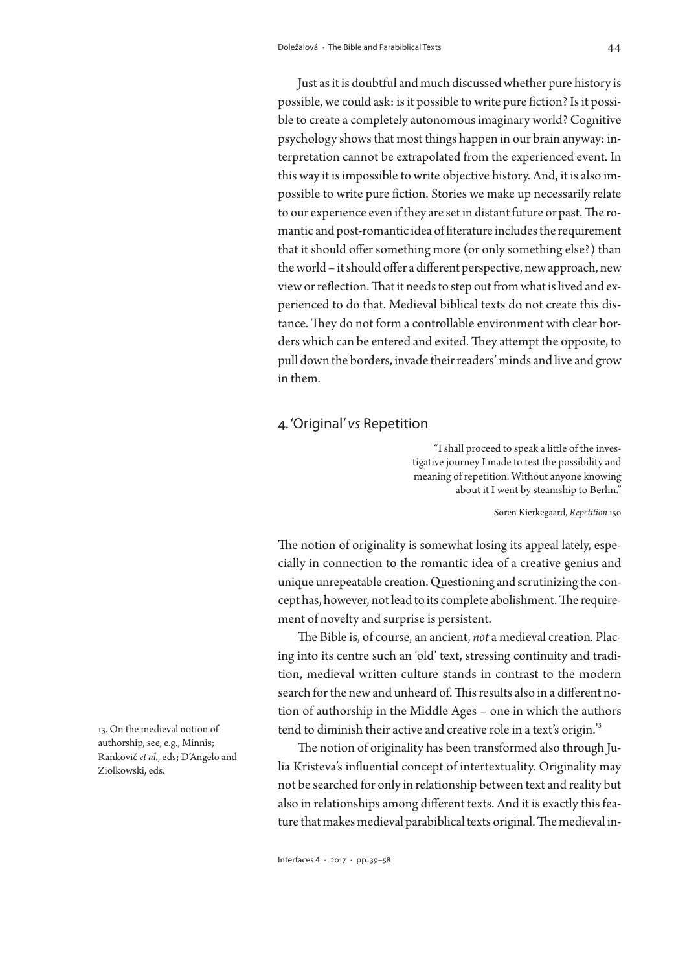Just as it is doubtful and much discussed whether pure history is possible, we could ask: is it possible to write pure fiction? Is it possible to create a completely autonomous imaginary world? Cognitive psychology shows that most things happen in our brain anyway: interpretation cannot be extrapolated from the experienced event. In this way it is impossible to write objective history. And, it is also impossible to write pure fiction. Stories we make up necessarily relate to our experience even if they are set in distant future or past. The romantic and post-romantic idea of literature includes the requirement that it should offer something more (or only something else?) than the world – it should offer a different perspective, new approach, new view or reflection. That it needs to step out from what is lived and experienced to do that. Medieval biblical texts do not create this distance. They do not form a controllable environment with clear borders which can be entered and exited. They attempt the opposite, to pull down the borders, invade their readers' minds and live and grow in them.

### 4. 'Original' *vs* Repetition

"I shall proceed to speak a little of the investigative journey I made to test the possibility and meaning of repetition. Without anyone knowing about it I went by steamship to Berlin."

Søren Kierkegaard, *Repetition* 150

The notion of originality is somewhat losing its appeal lately, especially in connection to the romantic idea of a creative genius and unique unrepeatable creation. Questioning and scrutinizing the concept has, however, not lead to its complete abolishment. The requirement of novelty and surprise is persistent.

The Bible is, of course, an ancient, *not* a medieval creation. Placing into its centre such an 'old' text, stressing continuity and tradition, medieval written culture stands in contrast to the modern search for the new and unheard of. This results also in a different notion of authorship in the Middle Ages – one in which the authors tend to diminish their active and creative role in a text's origin.<sup>13</sup>

The notion of originality has been transformed also through Julia Kristeva's influential concept of intertextuality. Originality may not be searched for only in relationship between text and reality but also in relationships among different texts. And it is exactly this feature that makes medieval parabiblical texts original. The medieval in-

13. On the medieval notion of authorship, see, e.g., Minnis; Ranković *et al.*, eds; D'Angelo and Ziolkowski, eds.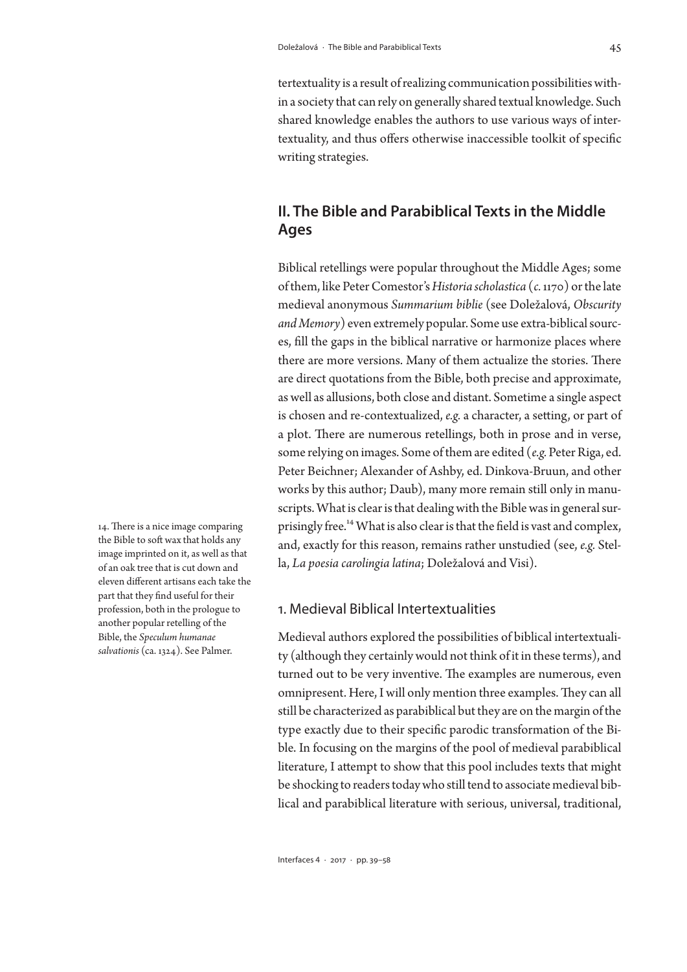tertextuality is a result of realizing communication possibilities within a society that can rely on generally shared textual knowledge. Such shared knowledge enables the authors to use various ways of intertextuality, and thus offers otherwise inaccessible toolkit of specific writing strategies.

# **II. The Bible and Parabiblical Texts in the Middle Ages**

Biblical retellings were popular throughout the Middle Ages; some of them, like Peter Comestor's *Historia scholastica* (*c.* 1170) or the late medieval anonymous *Summarium biblie* (see Doležalová, *Obscurity and Memory*) even extremely popular. Some use extra-biblical sources, fill the gaps in the biblical narrative or harmonize places where there are more versions. Many of them actualize the stories. There are direct quotations from the Bible, both precise and approximate, as well as allusions, both close and distant. Sometime a single aspect is chosen and re-contextualized, *e.g.* a character, a setting, or part of a plot. There are numerous retellings, both in prose and in verse, some relying on images. Some of them are edited (*e.g.* Peter Riga, ed. Peter Beichner; Alexander of Ashby, ed. Dinkova-Bruun, and other works by this author; Daub), many more remain still only in manuscripts. What is clear is that dealing with the Bible was in general surprisingly free.14 What is also clear is that the field is vast and complex, and, exactly for this reason, remains rather unstudied (see, *e.g.* Stella, *La poesia carolingia latina*; Doležalová and Visi).

## 1. Medieval Biblical Intertextualities

Medieval authors explored the possibilities of biblical intertextuality (although they certainly would not think of it in these terms), and turned out to be very inventive. The examples are numerous, even omnipresent. Here, I will only mention three examples. They can all still be characterized as parabiblical but they are on the margin of the type exactly due to their specific parodic transformation of the Bible. In focusing on the margins of the pool of medieval parabiblical literature, I attempt to show that this pool includes texts that might be shocking to readers today who still tend to associate medieval biblical and parabiblical literature with serious, universal, traditional,

14. There is a nice image comparing the Bible to soft wax that holds any image imprinted on it, as well as that of an oak tree that is cut down and eleven different artisans each take the part that they find useful for their profession, both in the prologue to another popular retelling of the Bible, the *Speculum humanae salvationis* (ca. 1324). See Palmer.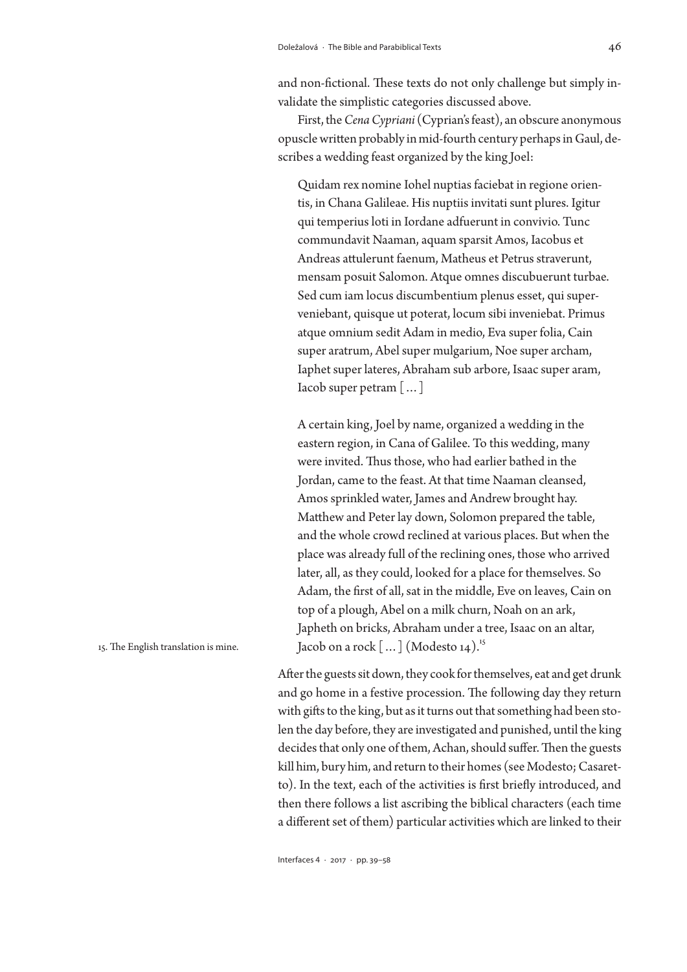and non-fictional. These texts do not only challenge but simply invalidate the simplistic categories discussed above.

First, the *Cena Cypriani* (Cyprian's feast), an obscure anonymous opuscle written probably in mid-fourth century perhaps in Gaul, describes a wedding feast organized by the king Joel:

Quidam rex nomine Iohel nuptias faciebat in regione orientis, in Chana Galileae. His nuptiis invitati sunt plures. Igitur qui temperius loti in Iordane adfuerunt in convivio. Tunc commundavit Naaman, aquam sparsit Amos, Iacobus et Andreas attulerunt faenum, Matheus et Petrus straverunt, mensam posuit Salomon. Atque omnes discubuerunt turbae. Sed cum iam locus discumbentium plenus esset, qui superveniebant, quisque ut poterat, locum sibi inveniebat. Primus atque omnium sedit Adam in medio, Eva super folia, Cain super aratrum, Abel super mulgarium, Noe super archam, Iaphet super lateres, Abraham sub arbore, Isaac super aram, Iacob super petram […]

A certain king, Joel by name, organized a wedding in the eastern region, in Cana of Galilee. To this wedding, many were invited. Thus those, who had earlier bathed in the Jordan, came to the feast. At that time Naaman cleansed, Amos sprinkled water, James and Andrew brought hay. Matthew and Peter lay down, Solomon prepared the table, and the whole crowd reclined at various places. But when the place was already full of the reclining ones, those who arrived later, all, as they could, looked for a place for themselves. So Adam, the first of all, sat in the middle, Eve on leaves, Cain on top of a plough, Abel on a milk churn, Noah on an ark, Japheth on bricks, Abraham under a tree, Isaac on an altar, Jacob on a rock  $\lceil ... \rceil$  (Modesto 14).<sup>15</sup>

After the guests sit down, they cook for themselves, eat and get drunk and go home in a festive procession. The following day they return with gifts to the king, but as it turns out that something had been stolen the day before, they are investigated and punished, until the king decides that only one of them, Achan, should suffer. Then the guests kill him, bury him, and return to their homes (see Modesto; Casaretto). In the text, each of the activities is first briefly introduced, and then there follows a list ascribing the biblical characters (each time a different set of them) particular activities which are linked to their

Interfaces 4 · 2017 · pp. 39–58

15. The English translation is mine.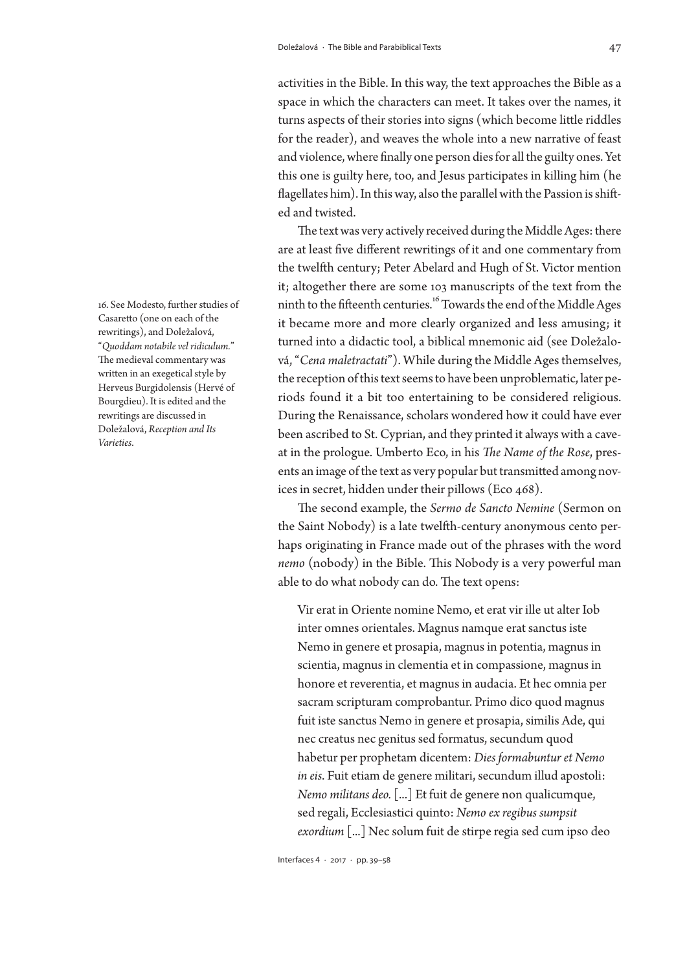activities in the Bible. In this way, the text approaches the Bible as a space in which the characters can meet. It takes over the names, it turns aspects of their stories into signs (which become little riddles for the reader), and weaves the whole into a new narrative of feast and violence, where finally one person dies for all the guilty ones. Yet this one is guilty here, too, and Jesus participates in killing him (he flagellates him). In this way, also the parallel with the Passion is shifted and twisted.

The text was very actively received during the Middle Ages: there are at least five different rewritings of it and one commentary from the twelfth century; Peter Abelard and Hugh of St. Victor mention it; altogether there are some 103 manuscripts of the text from the ninth to the fifteenth centuries.16 Towards the end of the Middle Ages it became more and more clearly organized and less amusing; it turned into a didactic tool, a biblical mnemonic aid (see Doležalová, "*Cena maletractati*"). While during the Middle Ages themselves, the reception of this text seems to have been unproblematic, later periods found it a bit too entertaining to be considered religious. During the Renaissance, scholars wondered how it could have ever been ascribed to St. Cyprian, and they printed it always with a caveat in the prologue. Umberto Eco, in his *The Name of the Rose*, presents an image of the text as very popular but transmitted among novices in secret, hidden under their pillows (Eco 468).

The second example, the *Sermo de Sancto Nemine* (Sermon on the Saint Nobody) is a late twelfth-century anonymous cento perhaps originating in France made out of the phrases with the word *nemo* (nobody) in the Bible. This Nobody is a very powerful man able to do what nobody can do. The text opens:

Vir erat in Oriente nomine Nemo, et erat vir ille ut alter Iob inter omnes orientales. Magnus namque erat sanctus iste Nemo in genere et prosapia, magnus in potentia, magnus in scientia, magnus in clementia et in compassione, magnus in honore et reverentia, et magnus in audacia. Et hec omnia per sacram scripturam comprobantur. Primo dico quod magnus fuit iste sanctus Nemo in genere et prosapia, similis Ade, qui nec creatus nec genitus sed formatus, secundum quod habetur per prophetam dicentem: *Dies formabuntur et Nemo in eis*. Fuit etiam de genere militari, secundum illud apostoli: *Nemo militans deo.* [...] Et fuit de genere non qualicumque, sed regali, Ecclesiastici quinto: *Nemo ex regibus sumpsit exordium* [...] Nec solum fuit de stirpe regia sed cum ipso deo

Interfaces 4 · 2017 · pp. 39–58

16. See Modesto, further studies of Casaretto (one on each of the rewritings), and Doležalová, "*Quoddam notabile vel ridiculum.*" The medieval commentary was written in an exegetical style by Herveus Burgidolensis (Hervé of Bourgdieu). It is edited and the rewritings are discussed in Doležalová, *Reception and Its Varieties*.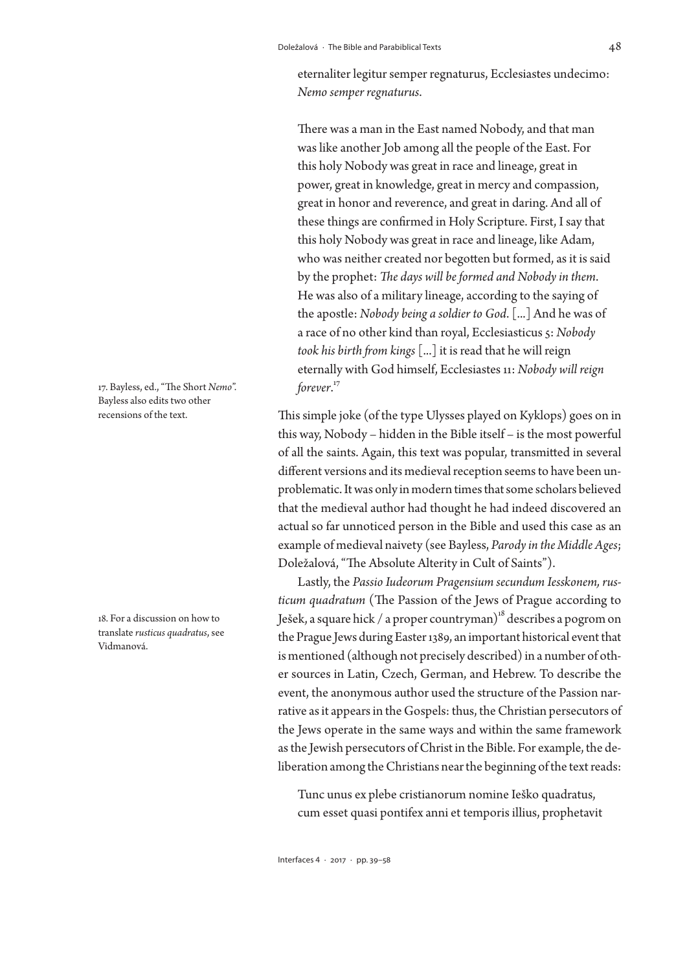eternaliter legitur semper regnaturus, Ecclesiastes undecimo: *Nemo semper regnaturus*.

There was a man in the East named Nobody, and that man was like another Job among all the people of the East. For this holy Nobody was great in race and lineage, great in power, great in knowledge, great in mercy and compassion, great in honor and reverence, and great in daring. And all of these things are confirmed in Holy Scripture. First, I say that this holy Nobody was great in race and lineage, like Adam, who was neither created nor begotten but formed, as it is said by the prophet: *The days will be formed and Nobody in them*. He was also of a military lineage, according to the saying of the apostle: *Nobody being a soldier to God*. [...] And he was of a race of no other kind than royal, Ecclesiasticus 5: *Nobody took his birth from kings* [...] it is read that he will reign eternally with God himself, Ecclesiastes 11: *Nobody will reign forever*. 17

This simple joke (of the type Ulysses played on Kyklops) goes on in this way, Nobody – hidden in the Bible itself – is the most powerful of all the saints. Again, this text was popular, transmitted in several different versions and its medieval reception seems to have been unproblematic. It was only in modern times that some scholars believed that the medieval author had thought he had indeed discovered an actual so far unnoticed person in the Bible and used this case as an example of medieval naivety (see Bayless, *Parody in the Middle Ages*; Doležalová, "The Absolute Alterity in Cult of Saints").

Lastly, the *Passio Iudeorum Pragensium secundum Iesskonem, rusticum quadratum* (The Passion of the Jews of Prague according to Ješek, a square hick / a proper countryman)<sup>18</sup> describes a pogrom on the Prague Jews during Easter 1389, an important historical event that is mentioned (although not precisely described) in a number of other sources in Latin, Czech, German, and Hebrew. To describe the event, the anonymous author used the structure of the Passion narrative as it appears in the Gospels: thus, the Christian persecutors of the Jews operate in the same ways and within the same framework as the Jewish persecutors of Christ in the Bible. For example, the deliberation among the Christians near the beginning of the text reads:

Tunc unus ex plebe cristianorum nomine Ieško quadratus, cum esset quasi pontifex anni et temporis illius, prophetavit

17. Bayless, ed., "The Short *Nemo*". Bayless also edits two other recensions of the text.

18. For a discussion on how to translate *rusticus quadratus*, see Vidmanová.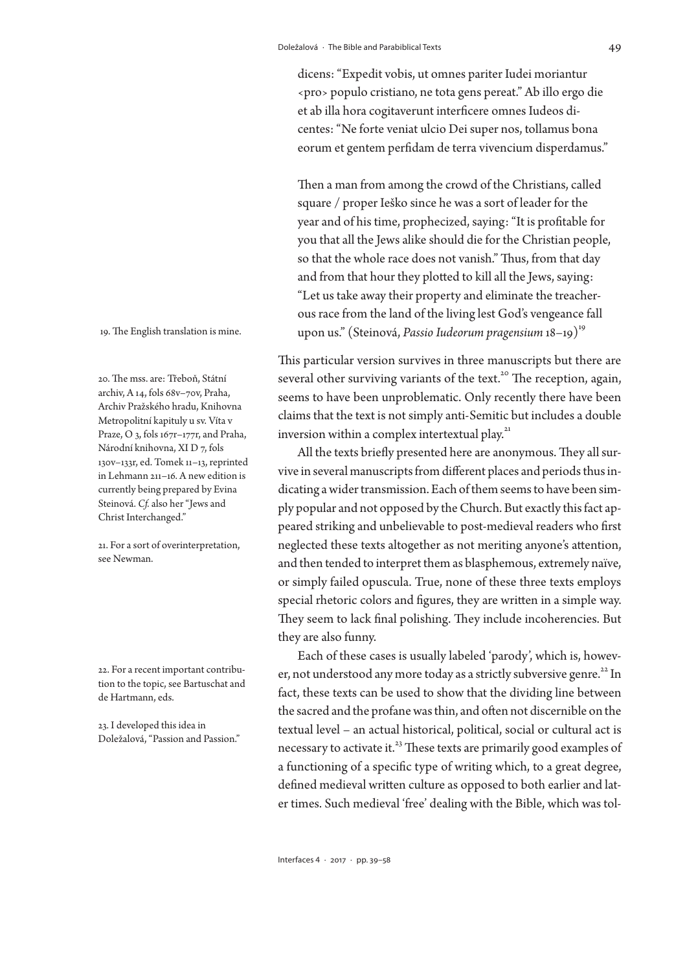dicens: "Expedit vobis, ut omnes pariter Iudei moriantur ‹pro› populo cristiano, ne tota gens pereat." Ab illo ergo die et ab illa hora cogitaverunt interficere omnes Iudeos dicentes: "Ne forte veniat ulcio Dei super nos, tollamus bona eorum et gentem perfidam de terra vivencium disperdamus."

Then a man from among the crowd of the Christians, called square / proper Ieško since he was a sort of leader for the year and of his time, prophecized, saying: "It is profitable for you that all the Jews alike should die for the Christian people, so that the whole race does not vanish." Thus, from that day and from that hour they plotted to kill all the Jews, saying: "Let us take away their property and eliminate the treacherous race from the land of the living lest God's vengeance fall upon us." (Steinová, *Passio Iudeorum pragensium* 18–19)<sup>19</sup>

This particular version survives in three manuscripts but there are several other surviving variants of the text.<sup>20</sup> The reception, again, seems to have been unproblematic. Only recently there have been claims that the text is not simply anti-Semitic but includes a double inversion within a complex intertextual play.<sup>21</sup>

All the texts briefly presented here are anonymous. They all survive in several manuscripts from different places and periods thus indicating a wider transmission. Each of them seems to have been simply popular and not opposed by the Church. But exactly this fact appeared striking and unbelievable to post-medieval readers who first neglected these texts altogether as not meriting anyone's attention, and then tended to interpret them as blasphemous, extremely naïve, or simply failed opuscula. True, none of these three texts employs special rhetoric colors and figures, they are written in a simple way. They seem to lack final polishing. They include incoherencies. But they are also funny.

Each of these cases is usually labeled 'parody', which is, however, not understood any more today as a strictly subversive genre.<sup>22</sup> In fact, these texts can be used to show that the dividing line between the sacred and the profane was thin, and often not discernible on the textual level – an actual historical, political, social or cultural act is necessary to activate it.<sup>23</sup> These texts are primarily good examples of a functioning of a specific type of writing which, to a great degree, defined medieval written culture as opposed to both earlier and later times. Such medieval 'free' dealing with the Bible, which was tol-

19. The English translation is mine.

20. The mss. are: Třeboň, Státní archiv, A 14, fols 68v–70v, Praha, Archiv Pražského hradu, Knihovna Metropolitní kapituly u sv. Víta v Praze, O 3, fols 167r–177r, and Praha, Národní knihovna, XI D 7, fols 130v–133r, ed. Tomek 11–13, reprinted in Lehmann 211–16. A new edition is currently being prepared by Evina Steinová. *Cf.* also her "Jews and Christ Interchanged."

21. For a sort of overinterpretation, see Newman.

22. For a recent important contribution to the topic, see Bartuschat and de Hartmann, eds.

23. I developed this idea in Doležalová, "Passion and Passion."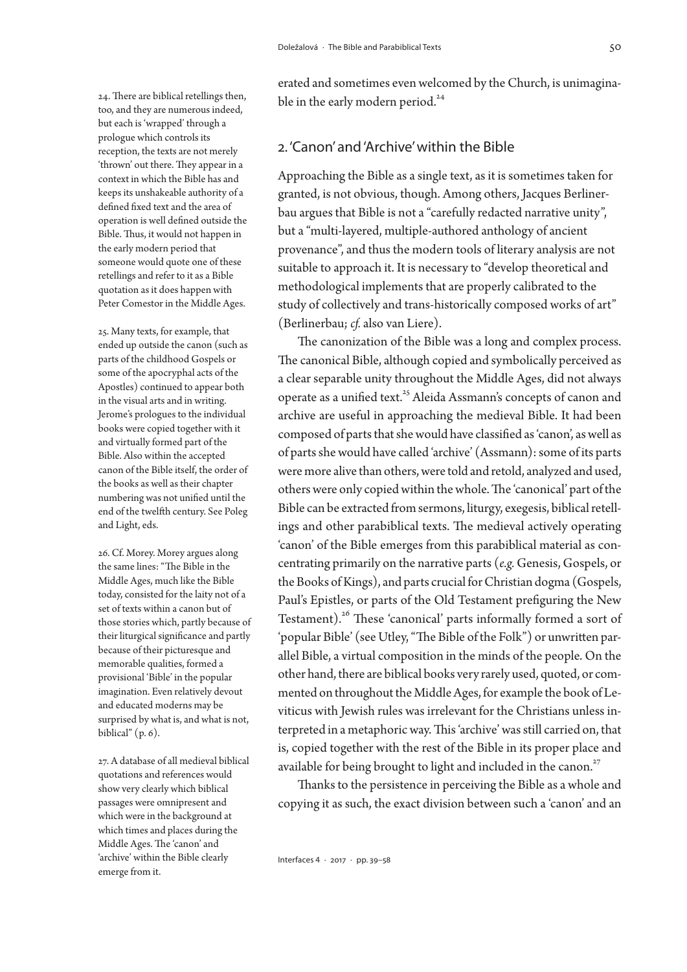24. There are biblical retellings then, too, and they are numerous indeed, but each is 'wrapped' through a prologue which controls its reception, the texts are not merely 'thrown' out there. They appear in a context in which the Bible has and keeps its unshakeable authority of a defined fixed text and the area of operation is well defined outside the Bible. Thus, it would not happen in the early modern period that someone would quote one of these retellings and refer to it as a Bible quotation as it does happen with Peter Comestor in the Middle Ages.

25. Many texts, for example, that ended up outside the canon (such as parts of the childhood Gospels or some of the apocryphal acts of the Apostles) continued to appear both in the visual arts and in writing. Jerome's prologues to the individual books were copied together with it and virtually formed part of the Bible. Also within the accepted canon of the Bible itself, the order of the books as well as their chapter numbering was not unified until the end of the twelfth century. See Poleg and Light, eds.

26. Cf. Morey. Morey argues along the same lines: "The Bible in the Middle Ages, much like the Bible today, consisted for the laity not of a set of texts within a canon but of those stories which, partly because of their liturgical significance and partly because of their picturesque and memorable qualities, formed a provisional 'Bible' in the popular imagination. Even relatively devout and educated moderns may be surprised by what is, and what is not, biblical"  $(p, 6)$ .

27. A database of all medieval biblical quotations and references would show very clearly which biblical passages were omnipresent and which were in the background at which times and places during the Middle Ages. The 'canon' and 'archive' within the Bible clearly emerge from it.

erated and sometimes even welcomed by the Church, is unimaginable in the early modern period.<sup>24</sup>

## 2. 'Canon' and 'Archive' within the Bible

Approaching the Bible as a single text, as it is sometimes taken for granted, is not obvious, though. Among others, Jacques Berlinerbau argues that Bible is not a "carefully redacted narrative unity", but a "multi-layered, multiple-authored anthology of ancient provenance", and thus the modern tools of literary analysis are not suitable to approach it. It is necessary to "develop theoretical and methodological implements that are properly calibrated to the study of collectively and trans-historically composed works of art" (Berlinerbau; *cf.* also van Liere).

The canonization of the Bible was a long and complex process. The canonical Bible, although copied and symbolically perceived as a clear separable unity throughout the Middle Ages, did not always operate as a unified text.<sup>25</sup> Aleida Assmann's concepts of canon and archive are useful in approaching the medieval Bible. It had been composed of parts that she would have classified as 'canon', as well as of parts she would have called 'archive' (Assmann): some of its parts were more alive than others, were told and retold, analyzed and used, others were only copied within the whole. The 'canonical' part of the Bible can be extracted from sermons, liturgy, exegesis, biblical retellings and other parabiblical texts. The medieval actively operating 'canon' of the Bible emerges from this parabiblical material as concentrating primarily on the narrative parts (*e.g.* Genesis, Gospels, or the Books of Kings), and parts crucial for Christian dogma (Gospels, Paul's Epistles, or parts of the Old Testament prefiguring the New Testament).<sup>26</sup> These 'canonical' parts informally formed a sort of 'popular Bible' (see Utley, "The Bible of the Folk") or unwritten parallel Bible, a virtual composition in the minds of the people. On the other hand, there are biblical books very rarely used, quoted, or commented on throughout the Middle Ages, for example the book of Leviticus with Jewish rules was irrelevant for the Christians unless interpreted in a metaphoric way. This 'archive' was still carried on, that is, copied together with the rest of the Bible in its proper place and available for being brought to light and included in the canon.<sup>27</sup>

Thanks to the persistence in perceiving the Bible as a whole and copying it as such, the exact division between such a 'canon' and an

Interfaces 4 · 2017 · pp. 39–58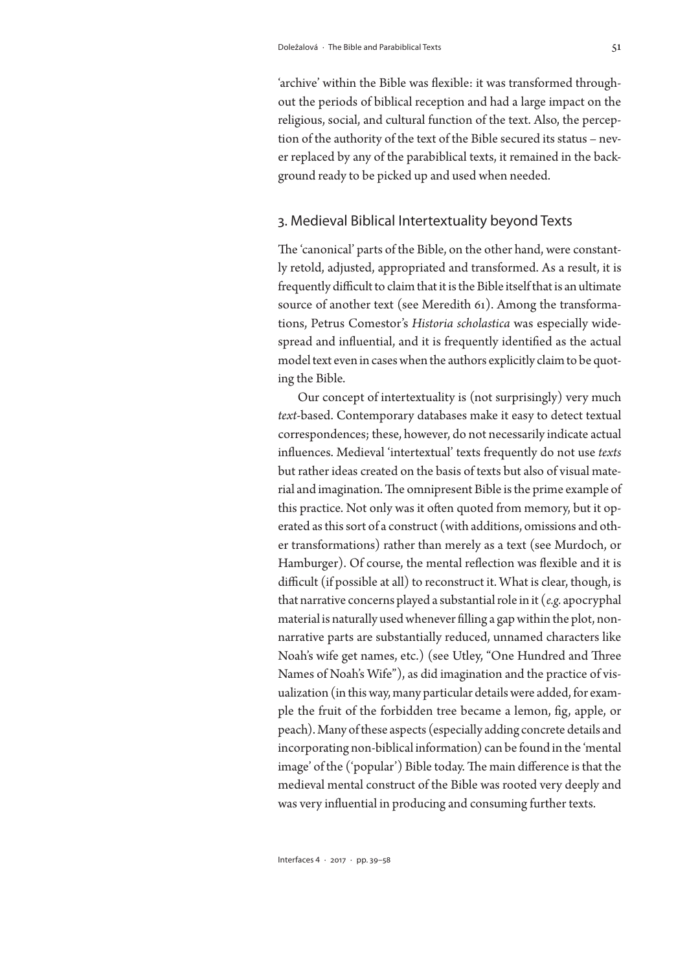'archive' within the Bible was flexible: it was transformed throughout the periods of biblical reception and had a large impact on the religious, social, and cultural function of the text. Also, the perception of the authority of the text of the Bible secured its status – never replaced by any of the parabiblical texts, it remained in the background ready to be picked up and used when needed.

## 3. Medieval Biblical Intertextuality beyond Texts

The 'canonical' parts of the Bible, on the other hand, were constantly retold, adjusted, appropriated and transformed. As a result, it is frequently difficult to claim that it is the Bible itself that is an ultimate source of another text (see Meredith 61). Among the transformations, Petrus Comestor's *Historia scholastica* was especially widespread and influential, and it is frequently identified as the actual model text even in cases when the authors explicitly claim to be quoting the Bible.

Our concept of intertextuality is (not surprisingly) very much *text*-based. Contemporary databases make it easy to detect textual correspondences; these, however, do not necessarily indicate actual influences. Medieval 'intertextual' texts frequently do not use *texts*  but rather ideas created on the basis of texts but also of visual material and imagination. The omnipresent Bible is the prime example of this practice. Not only was it often quoted from memory, but it operated as this sort of a construct (with additions, omissions and other transformations) rather than merely as a text (see Murdoch, or Hamburger). Of course, the mental reflection was flexible and it is difficult (if possible at all) to reconstruct it. What is clear, though, is that narrative concerns played a substantial role in it (*e.g.* apocryphal material is naturally used whenever filling a gap within the plot, nonnarrative parts are substantially reduced, unnamed characters like Noah's wife get names, etc.) (see Utley, "One Hundred and Three Names of Noah's Wife"), as did imagination and the practice of visualization (in this way, many particular details were added, for example the fruit of the forbidden tree became a lemon, fig, apple, or peach). Many of these aspects (especially adding concrete details and incorporating non-biblical information) can be found in the 'mental image' of the ('popular') Bible today. The main difference is that the medieval mental construct of the Bible was rooted very deeply and was very influential in producing and consuming further texts.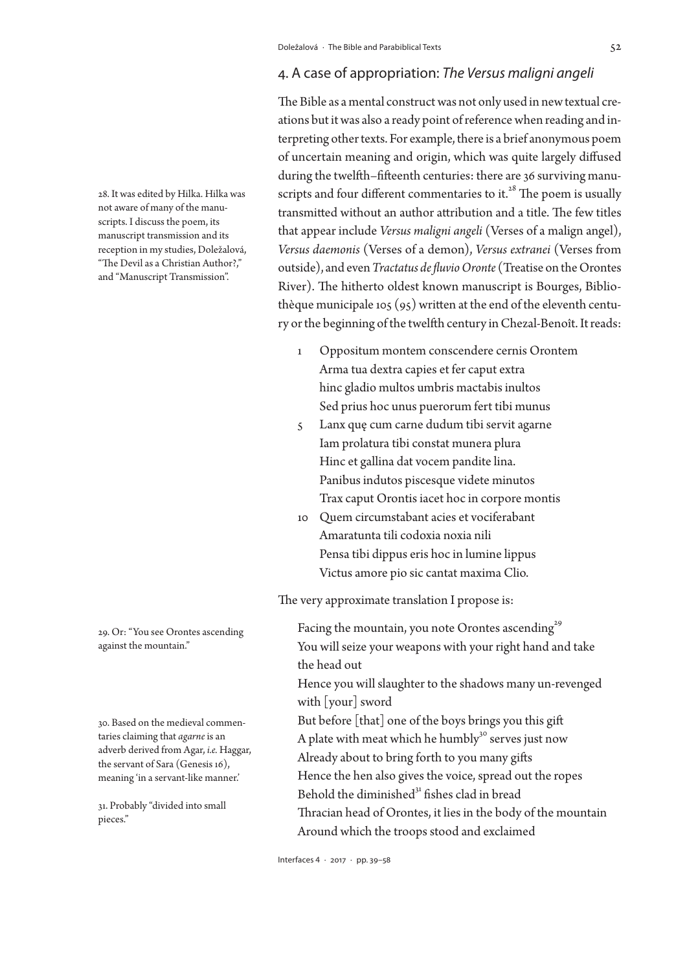## 4. A case of appropriation: *The Versus maligni angeli*

The Bible as a mental construct was not only used in new textual creations but it was also a ready point of reference when reading and interpreting other texts. For example, there is a brief anonymous poem of uncertain meaning and origin, which was quite largely diffused during the twelfth–fifteenth centuries: there are 36 surviving manuscripts and four different commentaries to it. $^{28}$  The poem is usually transmitted without an author attribution and a title. The few titles that appear include *Versus maligni angeli* (Verses of a malign angel), *Versus daemonis* (Verses of a demon), *Versus extranei* (Verses from outside), and even *Tractatus de fluvio Oronte* (Treatise on the Orontes River). The hitherto oldest known manuscript is Bourges, Bibliothèque municipale 105 (95) written at the end of the eleventh century or the beginning of the twelfth century in Chezal-Benoît. It reads:

- 1 Oppositum montem conscendere cernis Orontem Arma tua dextra capies et fer caput extra hinc gladio multos umbris mactabis inultos Sed prius hoc unus puerorum fert tibi munus
- 5 Lanx quę cum carne dudum tibi servit agarne Iam prolatura tibi constat munera plura Hinc et gallina dat vocem pandite lina. Panibus indutos piscesque videte minutos Trax caput Orontis iacet hoc in corpore montis
- 10 Quem circumstabant acies et vociferabant Amaratunta tili codoxia noxia nili Pensa tibi dippus eris hoc in lumine lippus Victus amore pio sic cantat maxima Clio.

The very approximate translation I propose is:

Facing the mountain, you note Orontes ascending<sup>29</sup> You will seize your weapons with your right hand and take the head out Hence you will slaughter to the shadows many un-revenged with [your] sword But before [that] one of the boys brings you this gift A plate with meat which he humbly<sup>30</sup> serves just now Already about to bring forth to you many gifts Hence the hen also gives the voice, spread out the ropes Behold the diminished $31$  fishes clad in bread Thracian head of Orontes, it lies in the body of the mountain Around which the troops stood and exclaimed

29. Or: "You see Orontes ascending against the mountain."

28. It was edited by Hilka. Hilka was not aware of many of the manuscripts. I discuss the poem, its manuscript transmission and its reception in my studies, Doležalová, "The Devil as a Christian Author?," and "Manuscript Transmission".

30. Based on the medieval commentaries claiming that *agarne* is an adverb derived from Agar, *i.e.* Haggar, the servant of Sara (Genesis 16), meaning 'in a servant-like manner.'

31. Probably "divided into small pieces."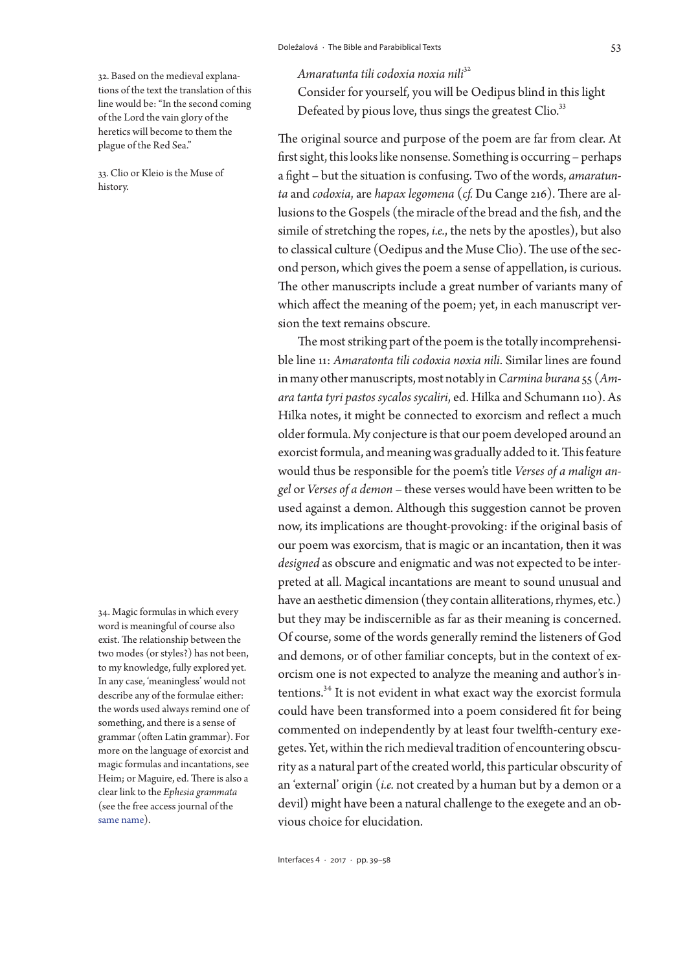32. Based on the medieval explanations of the text the translation of this line would be: "In the second coming of the Lord the vain glory of the heretics will become to them the plague of the Red Sea."

33. Clio or Kleio is the Muse of history.

34. Magic formulas in which every word is meaningful of course also exist. The relationship between the two modes (or styles?) has not been, to my knowledge, fully explored yet. In any case, 'meaningless' would not describe any of the formulae either: the words used always remind one of something, and there is a sense of grammar (often Latin grammar). For more on the language of exorcist and magic formulas and incantations, see Heim; or Maguire, ed. There is also a clear link to the *Ephesia grammata* (see the free access journal of the [same name\)](http://www.etudesmagiques.info/).

Interfaces 4 · 2017 · pp. 39–58

*Amaratunta tili codoxia noxia nili*<sup>32</sup>

Consider for yourself, you will be Oedipus blind in this light Defeated by pious love, thus sings the greatest Clio.<sup>33</sup>

The original source and purpose of the poem are far from clear. At first sight, this looks like nonsense. Something is occurring – perhaps a fight – but the situation is confusing. Two of the words, *amaratunta* and *codoxia*, are *hapax legomena* (*cf.* Du Cange 216). There are allusions to the Gospels (the miracle of the bread and the fish, and the simile of stretching the ropes, *i.e.*, the nets by the apostles), but also to classical culture (Oedipus and the Muse Clio). The use of the second person, which gives the poem a sense of appellation, is curious. The other manuscripts include a great number of variants many of which affect the meaning of the poem; yet, in each manuscript version the text remains obscure.

The most striking part of the poem is the totally incomprehensible line 11: *Amaratonta tili codoxia noxia nili*. Similar lines are found in many other manuscripts, most notably in *Carmina burana* 55 (*Amara tanta tyri pastos sycalos sycaliri*, ed. Hilka and Schumann 110). As Hilka notes, it might be connected to exorcism and reflect a much older formula. My conjecture is that our poem developed around an exorcist formula, and meaning was gradually added to it. This feature would thus be responsible for the poem's title *Verses of a malign angel* or *Verses of a demon* – these verses would have been written to be used against a demon. Although this suggestion cannot be proven now, its implications are thought-provoking: if the original basis of our poem was exorcism, that is magic or an incantation, then it was *designed* as obscure and enigmatic and was not expected to be interpreted at all. Magical incantations are meant to sound unusual and have an aesthetic dimension (they contain alliterations, rhymes, etc.) but they may be indiscernible as far as their meaning is concerned. Of course, some of the words generally remind the listeners of God and demons, or of other familiar concepts, but in the context of exorcism one is not expected to analyze the meaning and author's intentions.34 It is not evident in what exact way the exorcist formula could have been transformed into a poem considered fit for being commented on independently by at least four twelfth-century exegetes. Yet, within the rich medieval tradition of encountering obscurity as a natural part of the created world, this particular obscurity of an 'external' origin (*i.e.* not created by a human but by a demon or a devil) might have been a natural challenge to the exegete and an obvious choice for elucidation.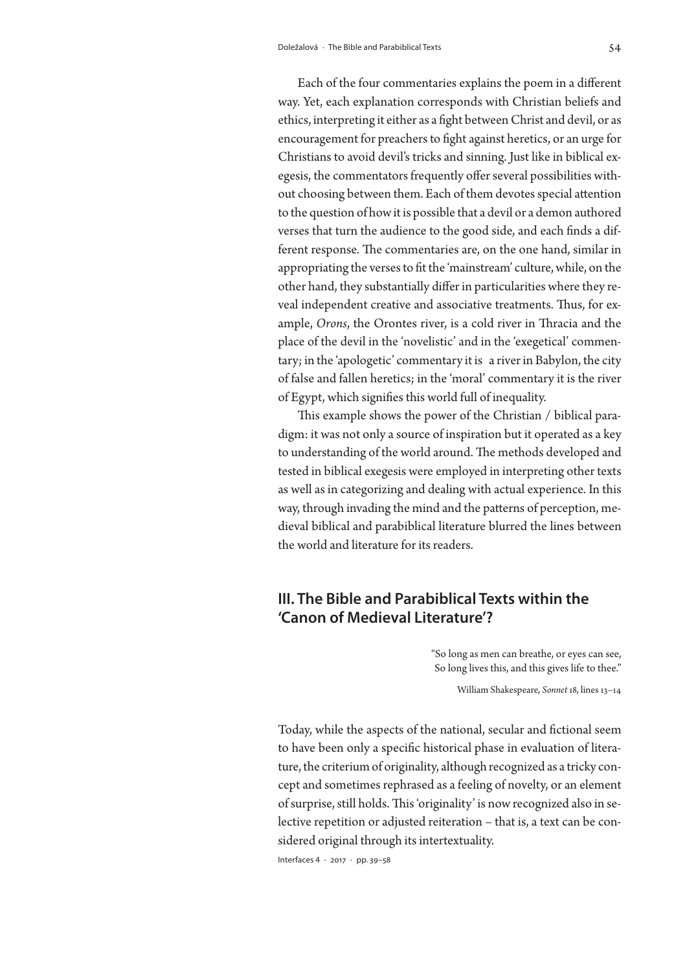Each of the four commentaries explains the poem in a different way. Yet, each explanation corresponds with Christian beliefs and ethics, interpreting it either as a fight between Christ and devil, or as encouragement for preachers to fight against heretics, or an urge for Christians to avoid devil's tricks and sinning. Just like in biblical exegesis, the commentators frequently offer several possibilities without choosing between them. Each of them devotes special attention to the question of how it is possible that a devil or a demon authored verses that turn the audience to the good side, and each finds a different response. The commentaries are, on the one hand, similar in appropriating the verses to fit the 'mainstream' culture, while, on the other hand, they substantially differ in particularities where they reveal independent creative and associative treatments. Thus, for example, *Orons*, the Orontes river, is a cold river in Thracia and the place of the devil in the 'novelistic' and in the 'exegetical' commentary; in the 'apologetic' commentary it is a river in Babylon, the city of false and fallen heretics; in the 'moral' commentary it is the river of Egypt, which signifies this world full of inequality.

This example shows the power of the Christian / biblical paradigm: it was not only a source of inspiration but it operated as a key to understanding of the world around. The methods developed and tested in biblical exegesis were employed in interpreting other texts as well as in categorizing and dealing with actual experience. In this way, through invading the mind and the patterns of perception, medieval biblical and parabiblical literature blurred the lines between the world and literature for its readers.

# **III. The Bible and Parabiblical Texts within the 'Canon of Medieval Literature'?**

"So long as men can breathe, or eyes can see, So long lives this, and this gives life to thee."

William Shakespeare, *Sonnet* 18, lines 13–14

Today, while the aspects of the national, secular and fictional seem to have been only a specific historical phase in evaluation of literature, the criterium of originality, although recognized as a tricky concept and sometimes rephrased as a feeling of novelty, or an element of surprise, still holds. This 'originality' is now recognized also in selective repetition or adjusted reiteration – that is, a text can be considered original through its intertextuality.

Interfaces 4 · 2017 · pp. 39–58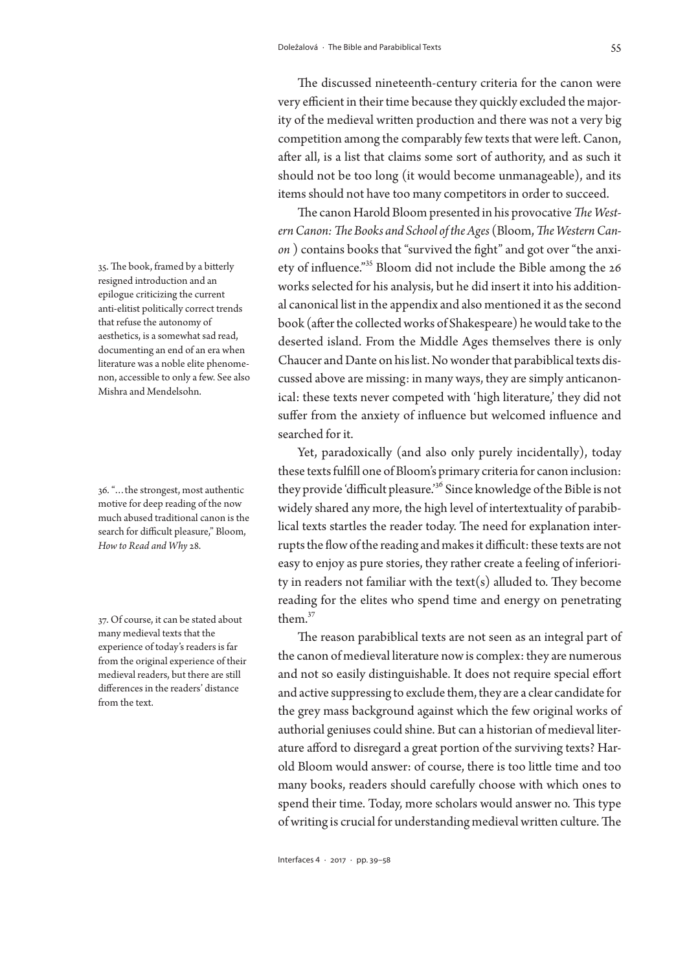The discussed nineteenth-century criteria for the canon were very efficient in their time because they quickly excluded the majority of the medieval written production and there was not a very big competition among the comparably few texts that were left. Canon, after all, is a list that claims some sort of authority, and as such it should not be too long (it would become unmanageable), and its items should not have too many competitors in order to succeed.

The canon Harold Bloom presented in his provocative *The Western Canon: The Books and School of the Ages* (Bloom, *The Western Canon* ) contains books that "survived the fight" and got over "the anxiety of influence."35 Bloom did not include the Bible among the 26 works selected for his analysis, but he did insert it into his additional canonical list in the appendix and also mentioned it as the second book (after the collected works of Shakespeare) he would take to the deserted island. From the Middle Ages themselves there is only Chaucer and Dante on his list. No wonder that parabiblical texts discussed above are missing: in many ways, they are simply anticanonical: these texts never competed with 'high literature,' they did not suffer from the anxiety of influence but welcomed influence and searched for it.

Yet, paradoxically (and also only purely incidentally), today these texts fulfill one of Bloom's primary criteria for canon inclusion: they provide 'difficult pleasure.'36 Since knowledge of the Bible is not widely shared any more, the high level of intertextuality of parabiblical texts startles the reader today. The need for explanation interrupts the flow of the reading and makes it difficult: these texts are not easy to enjoy as pure stories, they rather create a feeling of inferiority in readers not familiar with the text(s) alluded to. They become reading for the elites who spend time and energy on penetrating them.37

The reason parabiblical texts are not seen as an integral part of the canon of medieval literature now is complex: they are numerous and not so easily distinguishable. It does not require special effort and active suppressing to exclude them, they are a clear candidate for the grey mass background against which the few original works of authorial geniuses could shine. But can a historian of medieval literature afford to disregard a great portion of the surviving texts? Harold Bloom would answer: of course, there is too little time and too many books, readers should carefully choose with which ones to spend their time. Today, more scholars would answer no. This type of writing is crucial for understanding medieval written culture. The

35. The book, framed by a bitterly resigned introduction and an epilogue criticizing the current anti-elitist politically correct trends that refuse the autonomy of aesthetics, is a somewhat sad read, documenting an end of an era when literature was a noble elite phenomenon, accessible to only a few. See also Mishra and Mendelsohn.

36. "…the strongest, most authentic motive for deep reading of the now much abused traditional canon is the search for difficult pleasure," Bloom, *How to Read and Why* 28.

37. Of course, it can be stated about many medieval texts that the experience of today's readers is far from the original experience of their medieval readers, but there are still differences in the readers' distance from the text.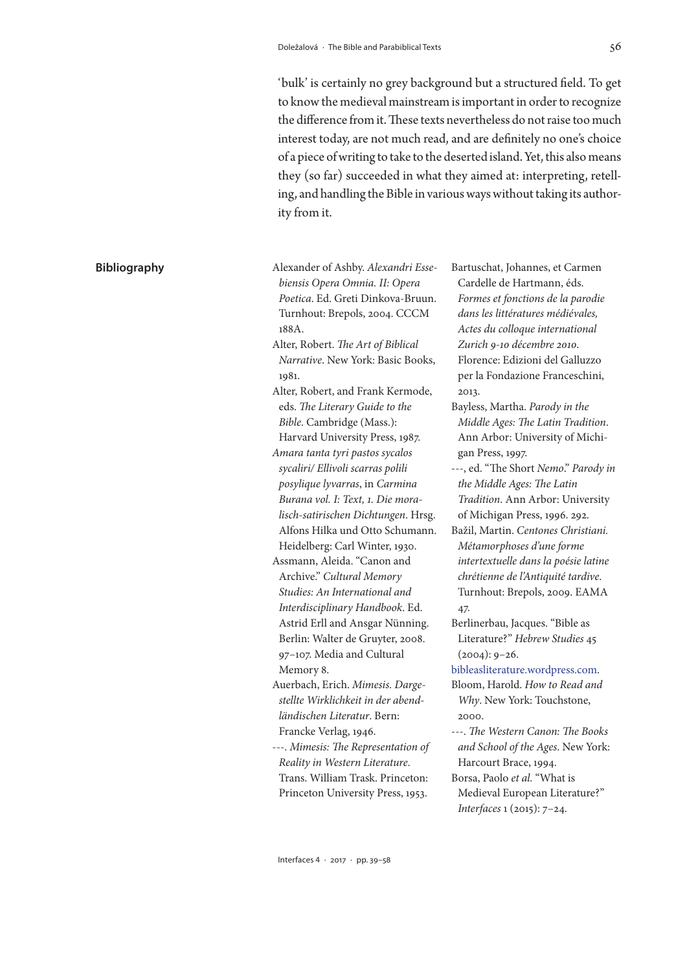'bulk' is certainly no grey background but a structured field. To get to know the medieval mainstream is important in order to recognize the difference from it. These texts nevertheless do not raise too much interest today, are not much read, and are definitely no one's choice of a piece of writing to take to the deserted island. Yet, this also means they (so far) succeeded in what they aimed at: interpreting, retelling, and handling the Bible in various ways without taking its authority from it.

*biensis Opera Omnia. II: Opera Poetica*. Ed. Greti Dinkova-Bruun. Turnhout: Brepols, 2004. CCCM 188A. Alter, Robert. *The Art of Biblical Narrative*. New York: Basic Books, 1081 Alter, Robert, and Frank Kermode, eds. *The Literary Guide to the Bible*. Cambridge (Mass.): Harvard University Press, 1987. *Amara tanta tyri pastos sycalos sycaliri/ Ellivoli scarras polili posylique lyvarras*, in *Carmina Burana vol. I: Text, 1. Die moralisch-satirischen Dichtungen*. Hrsg. Alfons Hilka und Otto Schumann. Heidelberg: Carl Winter, 1930. Assmann, Aleida. "Canon and Archive." *Cultural Memory Studies: An International and Interdisciplinary Handbook*. Ed. Astrid Erll and Ansgar Nünning. Berlin: Walter de Gruyter, 2008. 97–107. Media and Cultural Memory 8.

 **Bibliography** Alexander of Ashby. *Alexandri Esse-*

Auerbach, Erich. *Mimesis. Dargestellte Wirklichkeit in der abendländischen Literatur*. Bern: Francke Verlag, 1946.

---. *Mimesis: The Representation of Reality in Western Literature*. Trans. William Trask. Princeton: Princeton University Press, 1953.

Bartuschat, Johannes, et Carmen Cardelle de Hartmann, éds. *Formes et fonctions de la parodie dans les littératures médiévales, Actes du colloque international Zurich 9-10 décembre 2010*. Florence: Edizioni del Galluzzo per la Fondazione Franceschini, 2013.

- Bayless, Martha. *Parody in the Middle Ages: The Latin Tradition*. Ann Arbor: University of Michigan Press, 1997.
- ---, ed. "The Short *Nemo*." *Parody in the Middle Ages: The Latin Tradition*. Ann Arbor: University of Michigan Press, 1996. 292.
- Bažil, Martin. *[Centones Christiani.](http://www.academia.edu/660893/Centones_Christiani._Metamorphoses_dune_forme_intertextuelle_dans_la_poesie_latine_chretienne_de_lAntiquite_tardive)  [Métamorphoses d'une forme](http://www.academia.edu/660893/Centones_Christiani._Metamorphoses_dune_forme_intertextuelle_dans_la_poesie_latine_chretienne_de_lAntiquite_tardive)  [intertextuelle dans la poésie latine](http://www.academia.edu/660893/Centones_Christiani._Metamorphoses_dune_forme_intertextuelle_dans_la_poesie_latine_chretienne_de_lAntiquite_tardive)  [chrétienne de l'Antiquité tardive](http://www.academia.edu/660893/Centones_Christiani._Metamorphoses_dune_forme_intertextuelle_dans_la_poesie_latine_chretienne_de_lAntiquite_tardive)*. Turnhout: Brepols, 2009. EAMA 47.
- Berlinerbau, Jacques. "Bible as Literature?" *Hebrew Studies* 45  $(2004): 9-26.$

[bibleasliterature.wordpress.com.](http://bibleasliterature.wordpress.com)

- Bloom, Harold. *How to Read and Why*. New York: Touchstone, 2000.
- ---. *The Western Canon: The Books and School of the Ages*. New York: Harcourt Brace, 1994.
- Borsa, Paolo *et al.* "What is Medieval European Literature?" *Interfaces* 1 (2015): 7–24.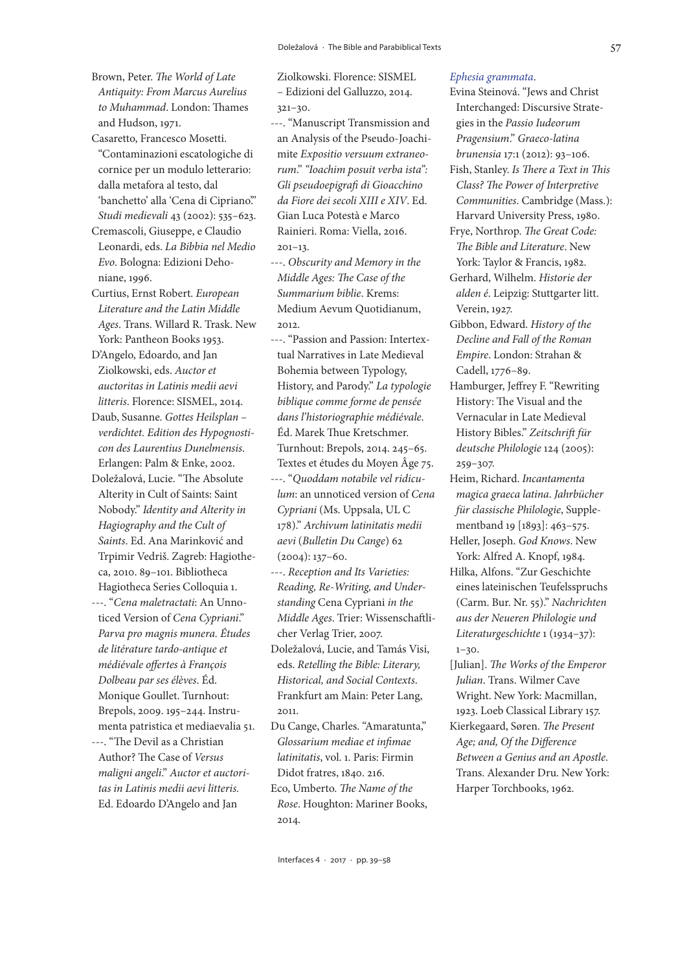- Brown, Peter. *The World of Late Antiquity: From Marcus Aurelius to Muhammad*. London: Thames and Hudson, 1971.
- Casaretto, Francesco Mosetti. "Contaminazioni escatologiche di cornice per un modulo letterario: dalla metafora al testo, dal 'banchetto' alla 'Cena di Cipriano'." *Studi medievali* 43 (2002): 535–623.
- Cremascoli, Giuseppe, e Claudio Leonardi, eds. *La Bibbia nel Medio Evo*. Bologna: Edizioni Dehoniane, 1996.
- Curtius, Ernst Robert. *European Literature and the Latin Middle Ages*. Trans. Willard R. Trask. New York: Pantheon Books 1953.
- D'Angelo, Edoardo, and Jan Ziolkowski, eds. *Auctor et auctoritas in Latinis medii aevi litteris*. Florence: SISMEL, 2014.
- Daub, Susanne. *Gottes Heilsplan verdichtet. Edition des Hypognosticon des Laurentius Dunelmensis*. Erlangen: Palm & Enke, 2002.
- Doležalová, Lucie. "The Absolute Alterity in Cult of Saints: Saint Nobody." *Identity and Alterity in Hagiography and the Cult of Saints*. Ed. Ana Marinković and Trpimir Vedriš. Zagreb: Hagiotheca, 2010. 89–101. Bibliotheca Hagiotheca Series Colloquia 1.
- ---. "*Cena maletractati*: An Unnoticed Version of *Cena Cypriani*." *Parva pro magnis munera. Études de litérature tardo-antique et médiévale offertes à François Dolbeau par ses élèves*. Éd. Monique Goullet. Turnhout: Brepols, 2009. 195–244. Instrumenta patristica et mediaevalia 51.
- ---. "The Devil as a Christian Author? The Case of *Versus maligni angeli*." *Auctor et auctoritas in Latinis medii aevi litteris.* Ed. Edoardo D'Angelo and Jan

Ziolkowski. Florence: SISMEL – Edizioni del Galluzzo, 2014. 321–30.

---. "Manuscript Transmission and an Analysis of the Pseudo-Joachimite *Expositio versuum extraneorum*." *"Ioachim posuit verba ista": Gli pseudoepigrafi di Gioacchino da Fiore dei secoli XIII e XIV*. Ed. Gian Luca Potestà e Marco Rainieri. Roma: Viella, 2016.  $201 - 13$ .

- ---. *Obscurity and Memory in the Middle Ages: The Case of the Summarium biblie*. Krems: Medium Aevum Quotidianum, 2012.
- ---. "Passion and Passion: Intertextual Narratives in Late Medieval Bohemia between Typology, History, and Parody." *La typologie biblique comme forme de pensée dans l'historiographie médiévale*. Éd. Marek Thue Kretschmer. Turnhout: Brepols, 2014. 245–65. Textes et études du Moyen Âge 75.
- ---. "*Quoddam notabile vel ridiculum*: an unnoticed version of *Cena Cypriani* (Ms. Uppsala, UL C 178)." *Archivum latinitatis medii aevi* (*Bulletin Du Cange*) 62 (2004): 137–60.
- ---. *Reception and Its Varieties: Reading, Re-Writing, and Understanding* Cena Cypriani *in the Middle Ages*. Trier: Wissenschaftlicher Verlag Trier, 2007.
- Doležalová, Lucie, and Tamás Visi, eds. *Retelling the Bible: Literary, Historical, and Social Contexts*. Frankfurt am Main: Peter Lang, 2011.
- Du Cange, Charles. "Amaratunta," *Glossarium mediae et infimae latinitatis*, vol. 1. Paris: Firmin Didot fratres, 1840. 216.
- Eco, Umberto. *The Name of the Rose*. Houghton: Mariner Books, 2014.

#### *[Ephesia grammata](http://www.etudesmagiques.info/)*.

- Evina Steinová. "Jews and Christ Interchanged: Discursive Strategies in the *Passio Iudeorum Pragensium*." *Graeco-latina brunensia* 17:1 (2012): 93–106.
- Fish, Stanley. *Is There a Text in This Class? The Power of Interpretive Communities*. Cambridge (Mass.): Harvard University Press, 1980.
- Frye, Northrop. *The Great Code: The Bible and Literature*. New York: Taylor & Francis, 1982. Gerhard, Wilhelm. *Historie der*
- *alden é*. Leipzig: Stuttgarter litt. Verein, 1927.
- Gibbon, Edward. *History of the Decline and Fall of the Roman Empire*. London: Strahan & Cadell, 1776–89.
- Hamburger, Jeffrey F. "Rewriting History: The Visual and the Vernacular in Late Medieval History Bibles." *Zeitschrift für deutsche Philologie* 124 (2005): 259–307.
- Heim, Richard. *Incantamenta magica graeca latina*. *Jahrbücher für classische Philologie*, Supplementband 19 [1893]: 463–575.
- Heller, Joseph. *God Knows*. New York: Alfred A. Knopf, 1984.
- Hilka, Alfons. "Zur Geschichte eines lateinischen Teufelsspruchs (Carm. Bur. Nr. 55)." *Nachrichten aus der Neueren Philologie und Literaturgeschichte* 1 (1934–37):  $1 - 30.$
- [Julian]. *The Works of the Emperor Julian*. Trans. Wilmer Cave Wright. New York: Macmillan, 1923. Loeb Classical Library 157.
- Kierkegaard, Søren. *The Present Age; and, Of the Difference Between a Genius and an Apostle*. Trans. Alexander Dru. New York: Harper Torchbooks, 1962.